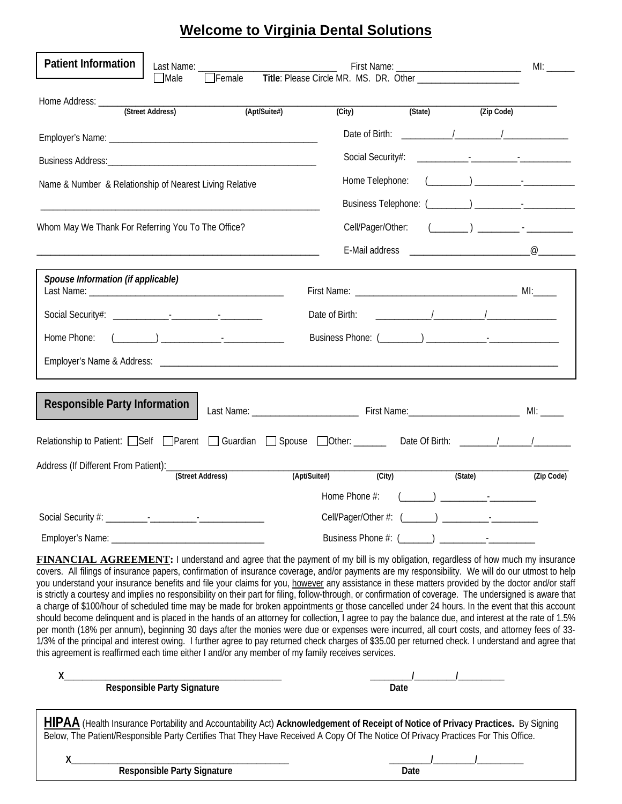## **Welcome to Virginia Dental Solutions**

| <b>Patient Information</b><br>Last Name:<br>Female Title: Please Circle MR. MS. DR. Other ______________________<br>$\Box$ Male |                                                                     |                                     |                                                                                                                                                                                                                                                                                                           |                                                                                                                                                                                                                                                                                                                                                                                                                                                                                                                                                                                      |            |
|---------------------------------------------------------------------------------------------------------------------------------|---------------------------------------------------------------------|-------------------------------------|-----------------------------------------------------------------------------------------------------------------------------------------------------------------------------------------------------------------------------------------------------------------------------------------------------------|--------------------------------------------------------------------------------------------------------------------------------------------------------------------------------------------------------------------------------------------------------------------------------------------------------------------------------------------------------------------------------------------------------------------------------------------------------------------------------------------------------------------------------------------------------------------------------------|------------|
| Home Address: ______<br>(Street Address)                                                                                        | (Apt/Suite#)                                                        | (City)                              |                                                                                                                                                                                                                                                                                                           | (State) (Zip Code)                                                                                                                                                                                                                                                                                                                                                                                                                                                                                                                                                                   |            |
|                                                                                                                                 |                                                                     |                                     | Date of Birth: 1                                                                                                                                                                                                                                                                                          |                                                                                                                                                                                                                                                                                                                                                                                                                                                                                                                                                                                      |            |
|                                                                                                                                 |                                                                     |                                     |                                                                                                                                                                                                                                                                                                           |                                                                                                                                                                                                                                                                                                                                                                                                                                                                                                                                                                                      |            |
| Name & Number & Relationship of Nearest Living Relative                                                                         |                                                                     | Home Telephone:                     |                                                                                                                                                                                                                                                                                                           | $\begin{pmatrix} 1 & 1 & 1 \\ 1 & 1 & 1 \\ 1 & 1 & 1 \end{pmatrix}$                                                                                                                                                                                                                                                                                                                                                                                                                                                                                                                  |            |
|                                                                                                                                 |                                                                     |                                     |                                                                                                                                                                                                                                                                                                           |                                                                                                                                                                                                                                                                                                                                                                                                                                                                                                                                                                                      |            |
| Whom May We Thank For Referring You To The Office?                                                                              |                                                                     | Cell/Pager/Other:                   |                                                                                                                                                                                                                                                                                                           | $(\begin{array}{ccc} \begin{array}{ccc} \begin{array}{ccc} \end{array} & \end{array} & \begin{array}{ccc} \end{array} & \begin{array}{ccc} \end{array} & \begin{array}{ccc} \end{array} & \begin{array}{ccc} \end{array} & \begin{array}{ccc} \end{array} & \begin{array}{ccc} \end{array} & \begin{array}{ccc} \end{array} & \begin{array}{ccc} \end{array} & \begin{array}{ccc} \end{array} & \begin{array}{ccc} \end{array} & \begin{array}{ccc} \end{array} & \begin{array}{ccc} \end{array} & \begin{array}{ccc} \end{array} & \begin{array}{ccc} \end{array} & \begin{array}{$ |            |
|                                                                                                                                 |                                                                     |                                     |                                                                                                                                                                                                                                                                                                           |                                                                                                                                                                                                                                                                                                                                                                                                                                                                                                                                                                                      |            |
| Spouse Information (if applicable)                                                                                              |                                                                     | Date of Birth:                      | $\frac{1}{2}$ , $\frac{1}{2}$ , $\frac{1}{2}$ , $\frac{1}{2}$ , $\frac{1}{2}$ , $\frac{1}{2}$ , $\frac{1}{2}$ , $\frac{1}{2}$ , $\frac{1}{2}$ , $\frac{1}{2}$ , $\frac{1}{2}$ , $\frac{1}{2}$ , $\frac{1}{2}$ , $\frac{1}{2}$ , $\frac{1}{2}$ , $\frac{1}{2}$ , $\frac{1}{2}$ , $\frac{1}{2}$ , $\frac{1$ |                                                                                                                                                                                                                                                                                                                                                                                                                                                                                                                                                                                      |            |
| Home Phone:                                                                                                                     | $\begin{pmatrix} 1 & 1 & 1 \\ 1 & 1 & 1 \\ 1 & 1 & 1 \end{pmatrix}$ |                                     |                                                                                                                                                                                                                                                                                                           |                                                                                                                                                                                                                                                                                                                                                                                                                                                                                                                                                                                      |            |
|                                                                                                                                 |                                                                     |                                     |                                                                                                                                                                                                                                                                                                           |                                                                                                                                                                                                                                                                                                                                                                                                                                                                                                                                                                                      |            |
| <b>Responsible Party Information</b>                                                                                            |                                                                     |                                     |                                                                                                                                                                                                                                                                                                           |                                                                                                                                                                                                                                                                                                                                                                                                                                                                                                                                                                                      |            |
| Relationship to Patient: Self Parent Guardian Spouse Other: ______ Date Of Birth: ______/_____/_____                            |                                                                     |                                     |                                                                                                                                                                                                                                                                                                           |                                                                                                                                                                                                                                                                                                                                                                                                                                                                                                                                                                                      |            |
|                                                                                                                                 |                                                                     |                                     |                                                                                                                                                                                                                                                                                                           |                                                                                                                                                                                                                                                                                                                                                                                                                                                                                                                                                                                      |            |
|                                                                                                                                 | (Street Address)                                                    | (Apt/Suite#)<br>$\overline{(City)}$ |                                                                                                                                                                                                                                                                                                           | (State)                                                                                                                                                                                                                                                                                                                                                                                                                                                                                                                                                                              | (Zip Code) |
|                                                                                                                                 |                                                                     |                                     |                                                                                                                                                                                                                                                                                                           |                                                                                                                                                                                                                                                                                                                                                                                                                                                                                                                                                                                      |            |
|                                                                                                                                 |                                                                     |                                     |                                                                                                                                                                                                                                                                                                           |                                                                                                                                                                                                                                                                                                                                                                                                                                                                                                                                                                                      |            |
|                                                                                                                                 |                                                                     |                                     |                                                                                                                                                                                                                                                                                                           |                                                                                                                                                                                                                                                                                                                                                                                                                                                                                                                                                                                      |            |

**FINANCIAL AGREEMENT:** I understand and agree that the payment of my bill is my obligation, regardless of how much my insurance covers. All filings of insurance papers, confirmation of insurance coverage, and/or payments are my responsibility. We will do our utmost to help you understand your insurance benefits and file your claims for you, however any assistance in these matters provided by the doctor and/or staff is strictly a courtesy and implies no responsibility on their part for filing, follow-through, or confirmation of coverage. The undersigned is aware that a charge of \$100/hour of scheduled time may be made for broken appointments or those cancelled under 24 hours. In the event that this account should become delinquent and is placed in the hands of an attorney for collection, I agree to pay the balance due, and interest at the rate of 1.5% per month (18% per annum), beginning 30 days after the monies were due or expenses were incurred, all court costs, and attorney fees of 33- 1/3% of the principal and interest owing. I further agree to pay returned check charges of \$35.00 per returned check. I understand and agree that this agreement is reaffirmed each time either I and/or any member of my family receives services.

| <b>Responsible Party Signature</b>                                                                                                                                                                                                                                     | Date |  |  |  |  |  |  |
|------------------------------------------------------------------------------------------------------------------------------------------------------------------------------------------------------------------------------------------------------------------------|------|--|--|--|--|--|--|
| HIPAA (Health Insurance Portability and Accountability Act) Acknowledgement of Receipt of Notice of Privacy Practices. By Signing<br>Below, The Patient/Responsible Party Certifies That They Have Received A Copy Of The Notice Of Privacy Practices For This Office. |      |  |  |  |  |  |  |
| <b>Responsible Party Signature</b>                                                                                                                                                                                                                                     | Date |  |  |  |  |  |  |